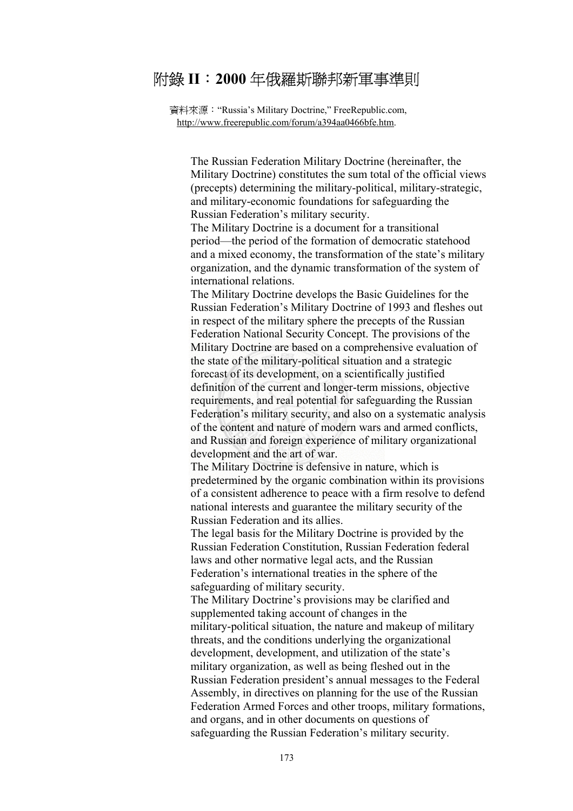# 附錄 **II**:**2000** 年俄羅斯聯邦新軍事準則

資料來源:"Russia's Military Doctrine," FreeRepublic.com, http://www.freerepublic.com/forum/a394aa0466bfe.htm.

The Russian Federation Military Doctrine (hereinafter, the Military Doctrine) constitutes the sum total of the official views (precepts) determining the military-political, military-strategic, and military-economic foundations for safeguarding the Russian Federation's military security.

The Military Doctrine is a document for a transitional period—the period of the formation of democratic statehood and a mixed economy, the transformation of the state's military organization, and the dynamic transformation of the system of international relations.

The Military Doctrine develops the Basic Guidelines for the Russian Federation's Military Doctrine of 1993 and fleshes out in respect of the military sphere the precepts of the Russian Federation National Security Concept. The provisions of the Military Doctrine are based on a comprehensive evaluation of the state of the military-political situation and a strategic forecast of its development, on a scientifically justified definition of the current and longer-term missions, objective requirements, and real potential for safeguarding the Russian Federation's military security, and also on a systematic analysis of the content and nature of modern wars and armed conflicts, and Russian and foreign experience of military organizational development and the art of war.

The Military Doctrine is defensive in nature, which is predetermined by the organic combination within its provisions of a consistent adherence to peace with a firm resolve to defend national interests and guarantee the military security of the Russian Federation and its allies.

The legal basis for the Military Doctrine is provided by the Russian Federation Constitution, Russian Federation federal laws and other normative legal acts, and the Russian Federation's international treaties in the sphere of the safeguarding of military security.

The Military Doctrine's provisions may be clarified and supplemented taking account of changes in the military-political situation, the nature and makeup of military threats, and the conditions underlying the organizational development, development, and utilization of the state's military organization, as well as being fleshed out in the Russian Federation president's annual messages to the Federal Assembly, in directives on planning for the use of the Russian Federation Armed Forces and other troops, military formations, and organs, and in other documents on questions of safeguarding the Russian Federation's military security.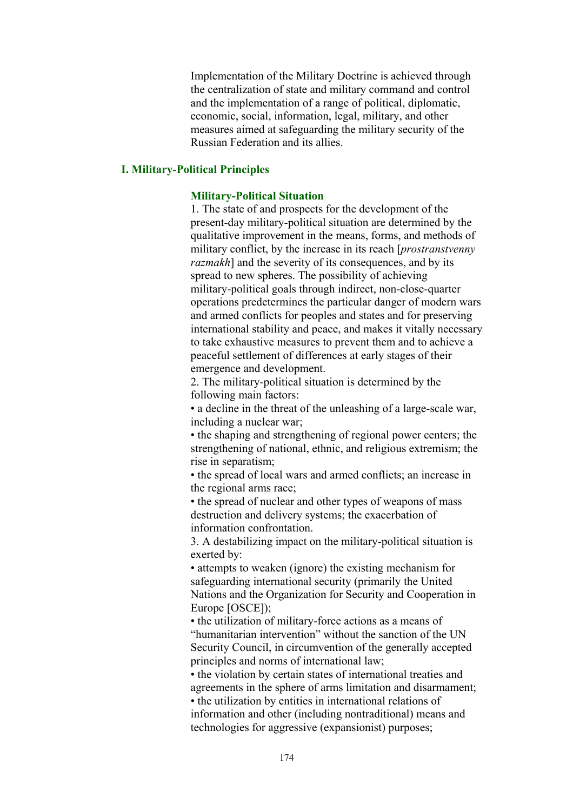Implementation of the Military Doctrine is achieved through the centralization of state and military command and control and the implementation of a range of political, diplomatic, economic, social, information, legal, military, and other measures aimed at safeguarding the military security of the Russian Federation and its allies.

# **I. Military-Political Principles**

# **Military-Political Situation**

1. The state of and prospects for the development of the present-day military-political situation are determined by the qualitative improvement in the means, forms, and methods of military conflict, by the increase in its reach [*prostranstvenny razmakh*] and the severity of its consequences, and by its spread to new spheres. The possibility of achieving military-political goals through indirect, non-close-quarter operations predetermines the particular danger of modern wars and armed conflicts for peoples and states and for preserving international stability and peace, and makes it vitally necessary to take exhaustive measures to prevent them and to achieve a peaceful settlement of differences at early stages of their emergence and development.

2. The military-political situation is determined by the following main factors:

• a decline in the threat of the unleashing of a large-scale war, including a nuclear war;

• the shaping and strengthening of regional power centers; the strengthening of national, ethnic, and religious extremism; the rise in separatism;

• the spread of local wars and armed conflicts; an increase in the regional arms race;

• the spread of nuclear and other types of weapons of mass destruction and delivery systems; the exacerbation of information confrontation.

3. A destabilizing impact on the military-political situation is exerted by:

• attempts to weaken (ignore) the existing mechanism for safeguarding international security (primarily the United Nations and the Organization for Security and Cooperation in Europe [OSCE]):

• the utilization of military-force actions as a means of "humanitarian intervention" without the sanction of the UN Security Council, in circumvention of the generally accepted principles and norms of international law;

• the violation by certain states of international treaties and agreements in the sphere of arms limitation and disarmament;

• the utilization by entities in international relations of information and other (including nontraditional) means and technologies for aggressive (expansionist) purposes;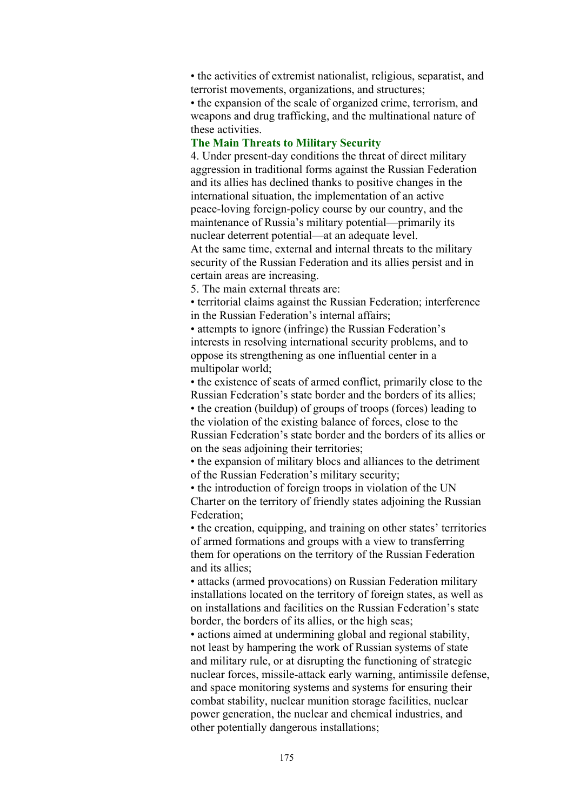• the activities of extremist nationalist, religious, separatist, and terrorist movements, organizations, and structures;

• the expansion of the scale of organized crime, terrorism, and weapons and drug trafficking, and the multinational nature of these activities.

## **The Main Threats to Military Security**

4. Under present-day conditions the threat of direct military aggression in traditional forms against the Russian Federation and its allies has declined thanks to positive changes in the international situation, the implementation of an active peace-loving foreign-policy course by our country, and the maintenance of Russia's military potential—primarily its nuclear deterrent potential—at an adequate level.

At the same time, external and internal threats to the military security of the Russian Federation and its allies persist and in certain areas are increasing.

5. The main external threats are:

• territorial claims against the Russian Federation; interference in the Russian Federation's internal affairs;

• attempts to ignore (infringe) the Russian Federation's interests in resolving international security problems, and to oppose its strengthening as one influential center in a multipolar world;

• the existence of seats of armed conflict, primarily close to the Russian Federation's state border and the borders of its allies;

• the creation (buildup) of groups of troops (forces) leading to the violation of the existing balance of forces, close to the Russian Federation's state border and the borders of its allies or on the seas adjoining their territories;

• the expansion of military blocs and alliances to the detriment of the Russian Federation's military security;

• the introduction of foreign troops in violation of the UN Charter on the territory of friendly states adjoining the Russian Federation;

• the creation, equipping, and training on other states' territories of armed formations and groups with a view to transferring them for operations on the territory of the Russian Federation and its allies;

• attacks (armed provocations) on Russian Federation military installations located on the territory of foreign states, as well as on installations and facilities on the Russian Federation's state border, the borders of its allies, or the high seas;

• actions aimed at undermining global and regional stability, not least by hampering the work of Russian systems of state and military rule, or at disrupting the functioning of strategic nuclear forces, missile-attack early warning, antimissile defense, and space monitoring systems and systems for ensuring their combat stability, nuclear munition storage facilities, nuclear power generation, the nuclear and chemical industries, and other potentially dangerous installations;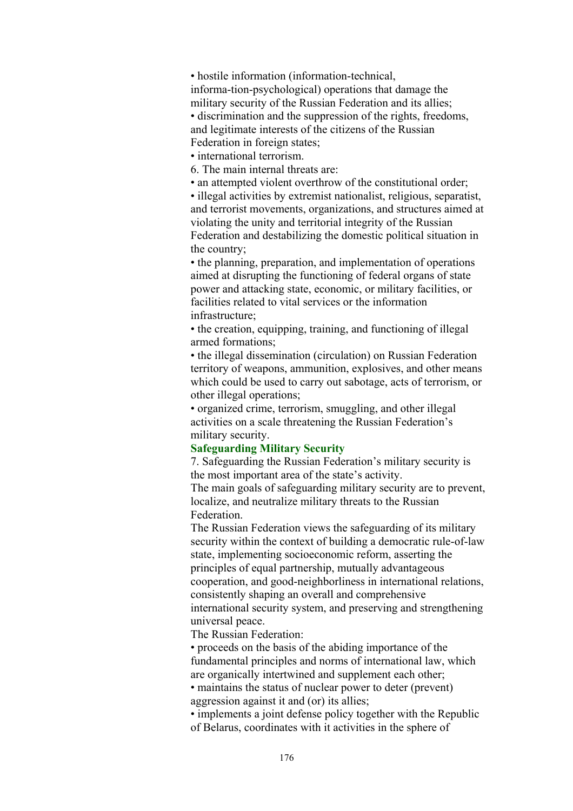• hostile information (information-technical, informa-tion-psychological) operations that damage the military security of the Russian Federation and its allies;

• discrimination and the suppression of the rights, freedoms, and legitimate interests of the citizens of the Russian Federation in foreign states;

• international terrorism.

6. The main internal threats are:

• an attempted violent overthrow of the constitutional order;

• illegal activities by extremist nationalist, religious, separatist, and terrorist movements, organizations, and structures aimed at violating the unity and territorial integrity of the Russian Federation and destabilizing the domestic political situation in the country;

• the planning, preparation, and implementation of operations aimed at disrupting the functioning of federal organs of state power and attacking state, economic, or military facilities, or facilities related to vital services or the information infrastructure;

• the creation, equipping, training, and functioning of illegal armed formations;

• the illegal dissemination (circulation) on Russian Federation territory of weapons, ammunition, explosives, and other means which could be used to carry out sabotage, acts of terrorism, or other illegal operations;

• organized crime, terrorism, smuggling, and other illegal activities on a scale threatening the Russian Federation's military security.

# **Safeguarding Military Security**

7. Safeguarding the Russian Federation's military security is the most important area of the state's activity.

The main goals of safeguarding military security are to prevent, localize, and neutralize military threats to the Russian **Federation** 

The Russian Federation views the safeguarding of its military security within the context of building a democratic rule-of-law state, implementing socioeconomic reform, asserting the principles of equal partnership, mutually advantageous cooperation, and good-neighborliness in international relations, consistently shaping an overall and comprehensive international security system, and preserving and strengthening universal peace.

The Russian Federation:

• proceeds on the basis of the abiding importance of the fundamental principles and norms of international law, which are organically intertwined and supplement each other;

• maintains the status of nuclear power to deter (prevent) aggression against it and (or) its allies;

• implements a joint defense policy together with the Republic of Belarus, coordinates with it activities in the sphere of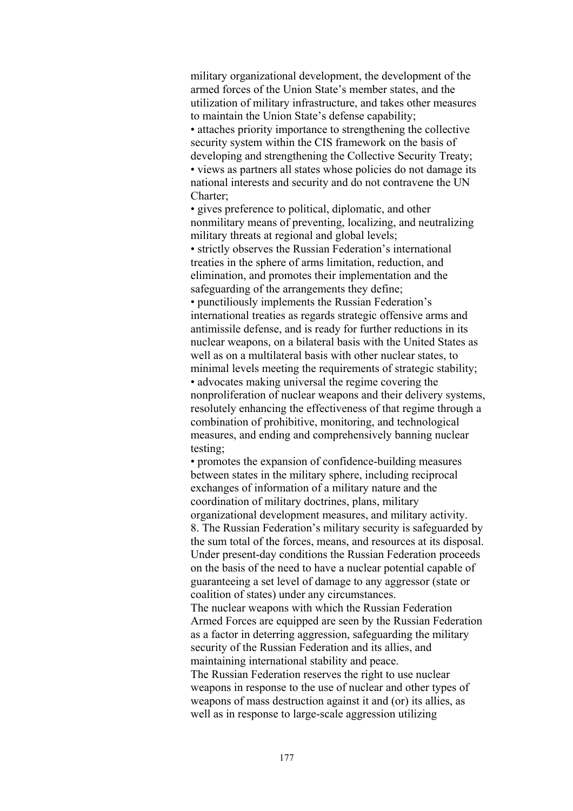military organizational development, the development of the armed forces of the Union State's member states, and the utilization of military infrastructure, and takes other measures to maintain the Union State's defense capability; • attaches priority importance to strengthening the collective security system within the CIS framework on the basis of developing and strengthening the Collective Security Treaty; • views as partners all states whose policies do not damage its national interests and security and do not contravene the UN Charter;

• gives preference to political, diplomatic, and other nonmilitary means of preventing, localizing, and neutralizing military threats at regional and global levels; • strictly observes the Russian Federation's international treaties in the sphere of arms limitation, reduction, and elimination, and promotes their implementation and the safeguarding of the arrangements they define;

• punctiliously implements the Russian Federation's international treaties as regards strategic offensive arms and antimissile defense, and is ready for further reductions in its nuclear weapons, on a bilateral basis with the United States as well as on a multilateral basis with other nuclear states, to minimal levels meeting the requirements of strategic stability; • advocates making universal the regime covering the nonproliferation of nuclear weapons and their delivery systems, resolutely enhancing the effectiveness of that regime through a combination of prohibitive, monitoring, and technological measures, and ending and comprehensively banning nuclear testing;

• promotes the expansion of confidence-building measures between states in the military sphere, including reciprocal exchanges of information of a military nature and the coordination of military doctrines, plans, military organizational development measures, and military activity. 8. The Russian Federation's military security is safeguarded by the sum total of the forces, means, and resources at its disposal. Under present-day conditions the Russian Federation proceeds on the basis of the need to have a nuclear potential capable of guaranteeing a set level of damage to any aggressor (state or coalition of states) under any circumstances.

The nuclear weapons with which the Russian Federation Armed Forces are equipped are seen by the Russian Federation as a factor in deterring aggression, safeguarding the military security of the Russian Federation and its allies, and maintaining international stability and peace.

The Russian Federation reserves the right to use nuclear weapons in response to the use of nuclear and other types of weapons of mass destruction against it and (or) its allies, as well as in response to large-scale aggression utilizing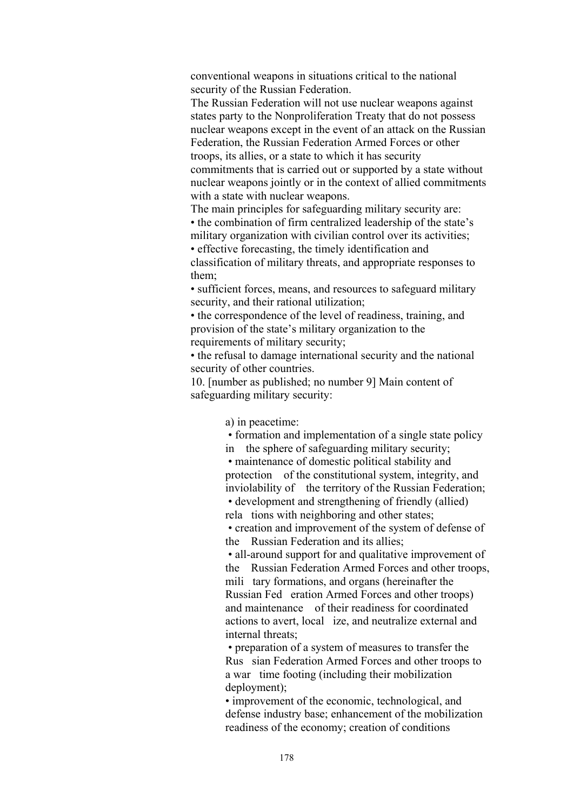conventional weapons in situations critical to the national security of the Russian Federation.

The Russian Federation will not use nuclear weapons against states party to the Nonproliferation Treaty that do not possess nuclear weapons except in the event of an attack on the Russian Federation, the Russian Federation Armed Forces or other troops, its allies, or a state to which it has security commitments that is carried out or supported by a state without nuclear weapons jointly or in the context of allied commitments with a state with nuclear weapons.

The main principles for safeguarding military security are: • the combination of firm centralized leadership of the state's military organization with civilian control over its activities;

• effective forecasting, the timely identification and

classification of military threats, and appropriate responses to them;

• sufficient forces, means, and resources to safeguard military security, and their rational utilization;

• the correspondence of the level of readiness, training, and provision of the state's military organization to the requirements of military security;

• the refusal to damage international security and the national security of other countries.

10. [number as published; no number 9] Main content of safeguarding military security:

a) in peacetime:

• formation and implementation of a single state policy

in the sphere of safeguarding military security;

 • maintenance of domestic political stability and protection of the constitutional system, integrity, and inviolability of the territory of the Russian Federation;

 • development and strengthening of friendly (allied) rela tions with neighboring and other states;

 • creation and improvement of the system of defense of the Russian Federation and its allies;

• all-around support for and qualitative improvement of the Russian Federation Armed Forces and other troops, mili tary formations, and organs (hereinafter the Russian Fed eration Armed Forces and other troops) and maintenance of their readiness for coordinated actions to avert, local ize, and neutralize external and internal threats;

 • preparation of a system of measures to transfer the Rus sian Federation Armed Forces and other troops to a war time footing (including their mobilization deployment);

• improvement of the economic, technological, and defense industry base; enhancement of the mobilization readiness of the economy; creation of conditions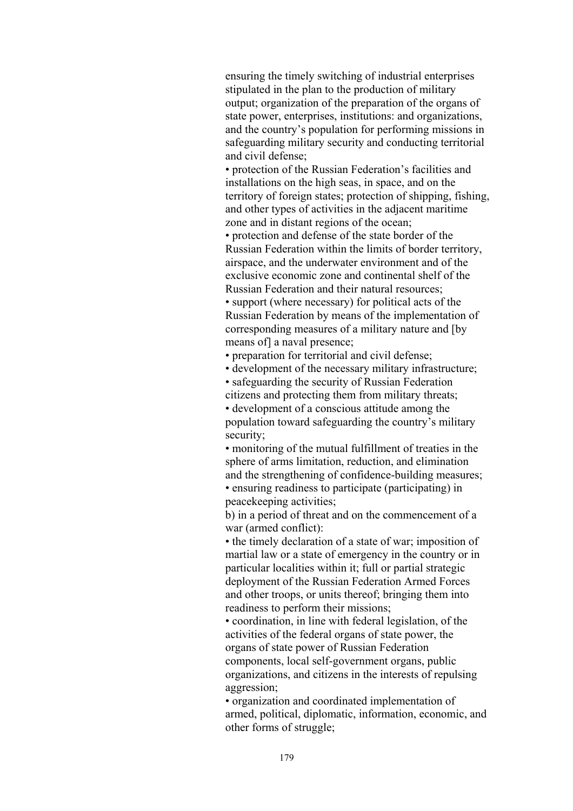ensuring the timely switching of industrial enterprises stipulated in the plan to the production of military output; organization of the preparation of the organs of state power, enterprises, institutions: and organizations, and the country's population for performing missions in safeguarding military security and conducting territorial and civil defense;

• protection of the Russian Federation's facilities and installations on the high seas, in space, and on the territory of foreign states; protection of shipping, fishing, and other types of activities in the adjacent maritime zone and in distant regions of the ocean;

• protection and defense of the state border of the Russian Federation within the limits of border territory, airspace, and the underwater environment and of the exclusive economic zone and continental shelf of the Russian Federation and their natural resources;

• support (where necessary) for political acts of the Russian Federation by means of the implementation of corresponding measures of a military nature and [by means of] a naval presence;

• preparation for territorial and civil defense;

• development of the necessary military infrastructure;

• safeguarding the security of Russian Federation

citizens and protecting them from military threats;

• development of a conscious attitude among the population toward safeguarding the country's military security;

• monitoring of the mutual fulfillment of treaties in the sphere of arms limitation, reduction, and elimination and the strengthening of confidence-building measures; • ensuring readiness to participate (participating) in peacekeeping activities;

b) in a period of threat and on the commencement of a war (armed conflict):

• the timely declaration of a state of war; imposition of martial law or a state of emergency in the country or in particular localities within it; full or partial strategic deployment of the Russian Federation Armed Forces and other troops, or units thereof; bringing them into readiness to perform their missions;

• coordination, in line with federal legislation, of the activities of the federal organs of state power, the organs of state power of Russian Federation components, local self-government organs, public organizations, and citizens in the interests of repulsing aggression;

• organization and coordinated implementation of armed, political, diplomatic, information, economic, and other forms of struggle;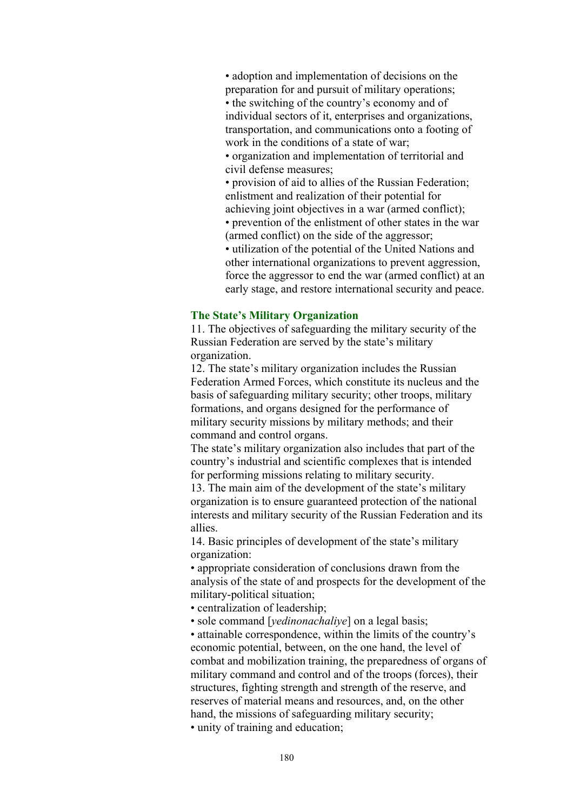• adoption and implementation of decisions on the preparation for and pursuit of military operations; • the switching of the country's economy and of individual sectors of it, enterprises and organizations, transportation, and communications onto a footing of work in the conditions of a state of war;

• organization and implementation of territorial and civil defense measures;

• provision of aid to allies of the Russian Federation; enlistment and realization of their potential for achieving joint objectives in a war (armed conflict);

• prevention of the enlistment of other states in the war (armed conflict) on the side of the aggressor;

• utilization of the potential of the United Nations and other international organizations to prevent aggression, force the aggressor to end the war (armed conflict) at an early stage, and restore international security and peace.

## **The State's Military Organization**

11. The objectives of safeguarding the military security of the Russian Federation are served by the state's military organization.

12. The state's military organization includes the Russian Federation Armed Forces, which constitute its nucleus and the basis of safeguarding military security; other troops, military formations, and organs designed for the performance of military security missions by military methods; and their command and control organs.

The state's military organization also includes that part of the country's industrial and scientific complexes that is intended for performing missions relating to military security.

13. The main aim of the development of the state's military organization is to ensure guaranteed protection of the national interests and military security of the Russian Federation and its allies.

14. Basic principles of development of the state's military organization:

• appropriate consideration of conclusions drawn from the analysis of the state of and prospects for the development of the military-political situation;

• centralization of leadership;

• sole command [*yedinonachaliye*] on a legal basis;

• attainable correspondence, within the limits of the country's economic potential, between, on the one hand, the level of combat and mobilization training, the preparedness of organs of military command and control and of the troops (forces), their structures, fighting strength and strength of the reserve, and reserves of material means and resources, and, on the other hand, the missions of safeguarding military security;

• unity of training and education;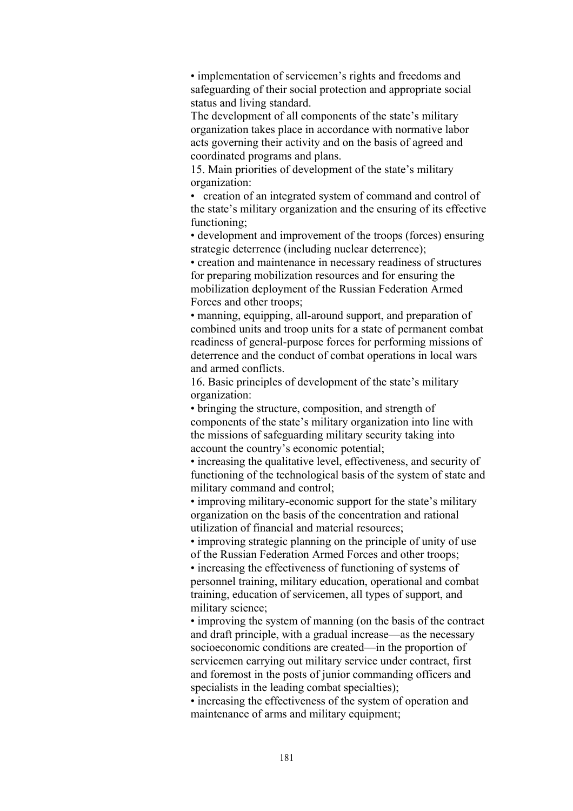• implementation of servicemen's rights and freedoms and safeguarding of their social protection and appropriate social status and living standard.

The development of all components of the state's military organization takes place in accordance with normative labor acts governing their activity and on the basis of agreed and coordinated programs and plans.

15. Main priorities of development of the state's military organization:

• creation of an integrated system of command and control of the state's military organization and the ensuring of its effective functioning;

• development and improvement of the troops (forces) ensuring strategic deterrence (including nuclear deterrence);

• creation and maintenance in necessary readiness of structures for preparing mobilization resources and for ensuring the mobilization deployment of the Russian Federation Armed Forces and other troops;

• manning, equipping, all-around support, and preparation of combined units and troop units for a state of permanent combat readiness of general-purpose forces for performing missions of deterrence and the conduct of combat operations in local wars and armed conflicts.

16. Basic principles of development of the state's military organization:

• bringing the structure, composition, and strength of components of the state's military organization into line with the missions of safeguarding military security taking into account the country's economic potential;

• increasing the qualitative level, effectiveness, and security of functioning of the technological basis of the system of state and military command and control;

• improving military-economic support for the state's military organization on the basis of the concentration and rational utilization of financial and material resources;

• improving strategic planning on the principle of unity of use of the Russian Federation Armed Forces and other troops;

• increasing the effectiveness of functioning of systems of personnel training, military education, operational and combat training, education of servicemen, all types of support, and military science;

• improving the system of manning (on the basis of the contract and draft principle, with a gradual increase—as the necessary socioeconomic conditions are created—in the proportion of servicemen carrying out military service under contract, first and foremost in the posts of junior commanding officers and specialists in the leading combat specialties);

• increasing the effectiveness of the system of operation and maintenance of arms and military equipment;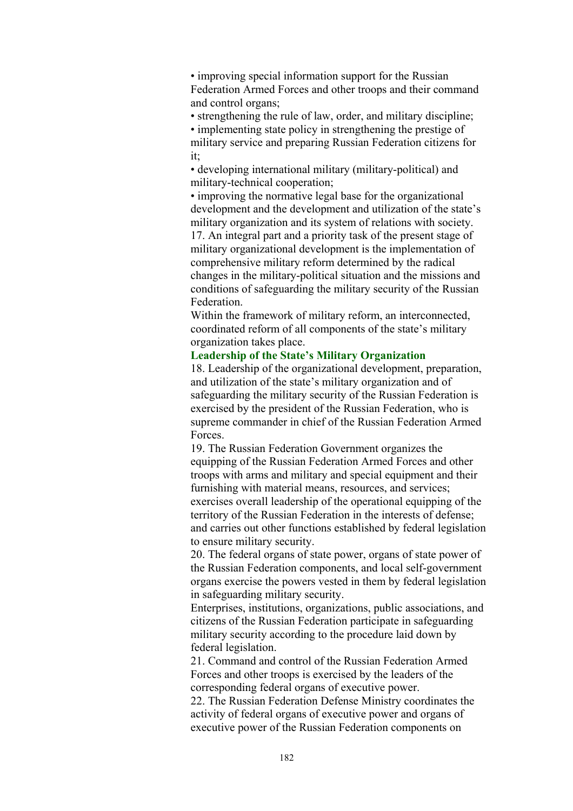• improving special information support for the Russian Federation Armed Forces and other troops and their command and control organs;

• strengthening the rule of law, order, and military discipline;

• implementing state policy in strengthening the prestige of military service and preparing Russian Federation citizens for it;

• developing international military (military-political) and military-technical cooperation;

• improving the normative legal base for the organizational development and the development and utilization of the state's military organization and its system of relations with society. 17. An integral part and a priority task of the present stage of military organizational development is the implementation of comprehensive military reform determined by the radical changes in the military-political situation and the missions and conditions of safeguarding the military security of the Russian Federation.

Within the framework of military reform, an interconnected, coordinated reform of all components of the state's military organization takes place.

# **Leadership of the State's Military Organization**

18. Leadership of the organizational development, preparation, and utilization of the state's military organization and of safeguarding the military security of the Russian Federation is exercised by the president of the Russian Federation, who is supreme commander in chief of the Russian Federation Armed Forces.

19. The Russian Federation Government organizes the equipping of the Russian Federation Armed Forces and other troops with arms and military and special equipment and their furnishing with material means, resources, and services; exercises overall leadership of the operational equipping of the territory of the Russian Federation in the interests of defense; and carries out other functions established by federal legislation to ensure military security.

20. The federal organs of state power, organs of state power of the Russian Federation components, and local self-government organs exercise the powers vested in them by federal legislation in safeguarding military security.

Enterprises, institutions, organizations, public associations, and citizens of the Russian Federation participate in safeguarding military security according to the procedure laid down by federal legislation.

21. Command and control of the Russian Federation Armed Forces and other troops is exercised by the leaders of the corresponding federal organs of executive power.

22. The Russian Federation Defense Ministry coordinates the activity of federal organs of executive power and organs of executive power of the Russian Federation components on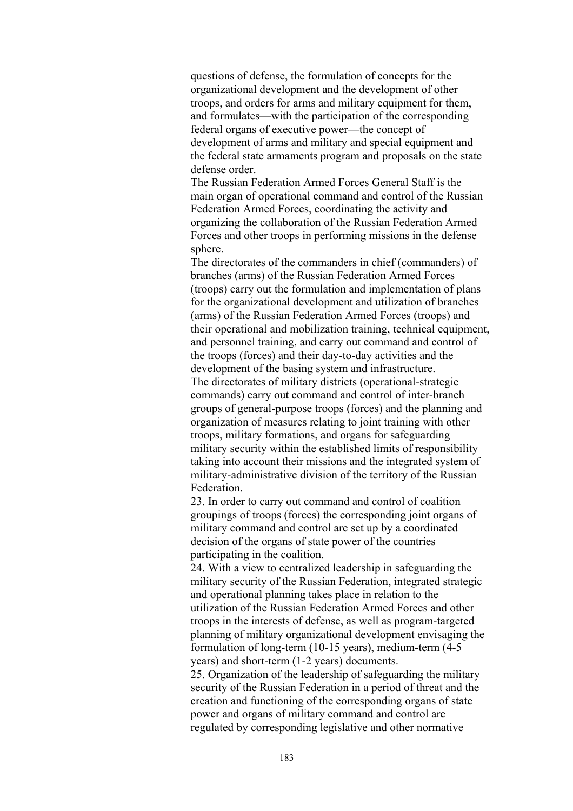questions of defense, the formulation of concepts for the organizational development and the development of other troops, and orders for arms and military equipment for them, and formulates—with the participation of the corresponding federal organs of executive power—the concept of development of arms and military and special equipment and the federal state armaments program and proposals on the state defense order.

The Russian Federation Armed Forces General Staff is the main organ of operational command and control of the Russian Federation Armed Forces, coordinating the activity and organizing the collaboration of the Russian Federation Armed Forces and other troops in performing missions in the defense sphere.

The directorates of the commanders in chief (commanders) of branches (arms) of the Russian Federation Armed Forces (troops) carry out the formulation and implementation of plans for the organizational development and utilization of branches (arms) of the Russian Federation Armed Forces (troops) and their operational and mobilization training, technical equipment, and personnel training, and carry out command and control of the troops (forces) and their day-to-day activities and the development of the basing system and infrastructure. The directorates of military districts (operational-strategic commands) carry out command and control of inter-branch groups of general-purpose troops (forces) and the planning and organization of measures relating to joint training with other troops, military formations, and organs for safeguarding military security within the established limits of responsibility taking into account their missions and the integrated system of military-administrative division of the territory of the Russian Federation.

23. In order to carry out command and control of coalition groupings of troops (forces) the corresponding joint organs of military command and control are set up by a coordinated decision of the organs of state power of the countries participating in the coalition.

24. With a view to centralized leadership in safeguarding the military security of the Russian Federation, integrated strategic and operational planning takes place in relation to the utilization of the Russian Federation Armed Forces and other troops in the interests of defense, as well as program-targeted planning of military organizational development envisaging the formulation of long-term (10-15 years), medium-term (4-5 years) and short-term (1-2 years) documents.

25. Organization of the leadership of safeguarding the military security of the Russian Federation in a period of threat and the creation and functioning of the corresponding organs of state power and organs of military command and control are regulated by corresponding legislative and other normative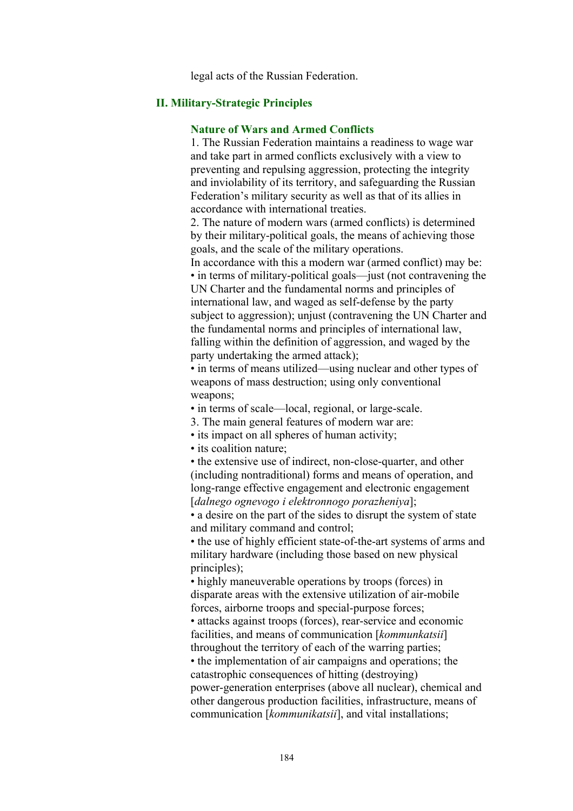legal acts of the Russian Federation.

#### **II. Military-Strategic Principles**

#### **Nature of Wars and Armed Conflicts**

1. The Russian Federation maintains a readiness to wage war and take part in armed conflicts exclusively with a view to preventing and repulsing aggression, protecting the integrity and inviolability of its territory, and safeguarding the Russian Federation's military security as well as that of its allies in accordance with international treaties.

2. The nature of modern wars (armed conflicts) is determined by their military-political goals, the means of achieving those goals, and the scale of the military operations.

In accordance with this a modern war (armed conflict) may be:

• in terms of military-political goals—just (not contravening the UN Charter and the fundamental norms and principles of international law, and waged as self-defense by the party subject to aggression); unjust (contravening the UN Charter and the fundamental norms and principles of international law, falling within the definition of aggression, and waged by the party undertaking the armed attack);

• in terms of means utilized—using nuclear and other types of weapons of mass destruction; using only conventional weapons;

• in terms of scale—local, regional, or large-scale.

3. The main general features of modern war are:

• its impact on all spheres of human activity;

• its coalition nature;

• the extensive use of indirect, non-close-quarter, and other (including nontraditional) forms and means of operation, and long-range effective engagement and electronic engagement [*dalnego ognevogo i elektronnogo porazheniya*];

• a desire on the part of the sides to disrupt the system of state and military command and control;

• the use of highly efficient state-of-the-art systems of arms and military hardware (including those based on new physical principles);

• highly maneuverable operations by troops (forces) in disparate areas with the extensive utilization of air-mobile forces, airborne troops and special-purpose forces;

• attacks against troops (forces), rear-service and economic facilities, and means of communication [*kommunkatsii*] throughout the territory of each of the warring parties;

• the implementation of air campaigns and operations; the catastrophic consequences of hitting (destroying) power-generation enterprises (above all nuclear), chemical and other dangerous production facilities, infrastructure, means of communication [*kommunikatsii*], and vital installations;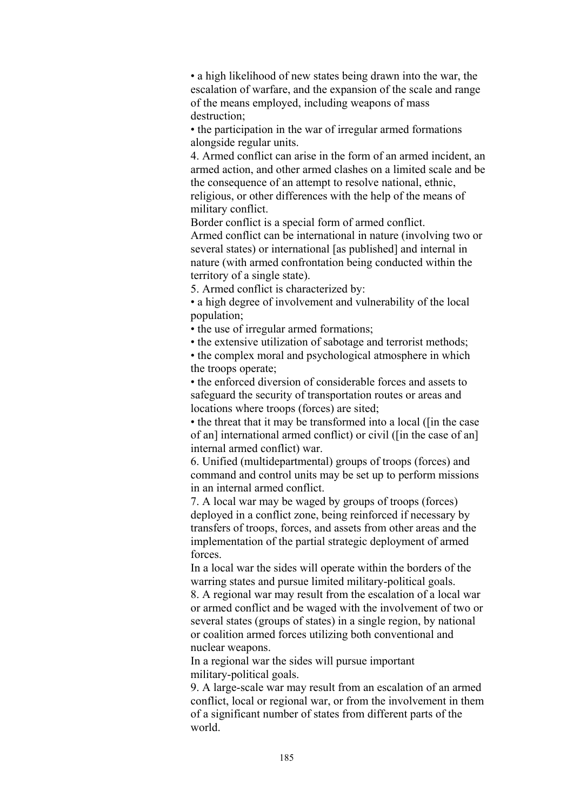• a high likelihood of new states being drawn into the war, the escalation of warfare, and the expansion of the scale and range of the means employed, including weapons of mass destruction;

• the participation in the war of irregular armed formations alongside regular units.

4. Armed conflict can arise in the form of an armed incident, an armed action, and other armed clashes on a limited scale and be the consequence of an attempt to resolve national, ethnic, religious, or other differences with the help of the means of military conflict.

Border conflict is a special form of armed conflict.

Armed conflict can be international in nature (involving two or several states) or international [as published] and internal in nature (with armed confrontation being conducted within the territory of a single state).

5. Armed conflict is characterized by:

• a high degree of involvement and vulnerability of the local population;

• the use of irregular armed formations;

• the extensive utilization of sabotage and terrorist methods;

• the complex moral and psychological atmosphere in which the troops operate;

• the enforced diversion of considerable forces and assets to safeguard the security of transportation routes or areas and locations where troops (forces) are sited;

• the threat that it may be transformed into a local ([in the case of an] international armed conflict) or civil ([in the case of an] internal armed conflict) war.

6. Unified (multidepartmental) groups of troops (forces) and command and control units may be set up to perform missions in an internal armed conflict.

7. A local war may be waged by groups of troops (forces) deployed in a conflict zone, being reinforced if necessary by transfers of troops, forces, and assets from other areas and the implementation of the partial strategic deployment of armed **forces** 

In a local war the sides will operate within the borders of the warring states and pursue limited military-political goals. 8. A regional war may result from the escalation of a local war

or armed conflict and be waged with the involvement of two or several states (groups of states) in a single region, by national or coalition armed forces utilizing both conventional and nuclear weapons.

In a regional war the sides will pursue important military-political goals.

9. A large-scale war may result from an escalation of an armed conflict, local or regional war, or from the involvement in them of a significant number of states from different parts of the world.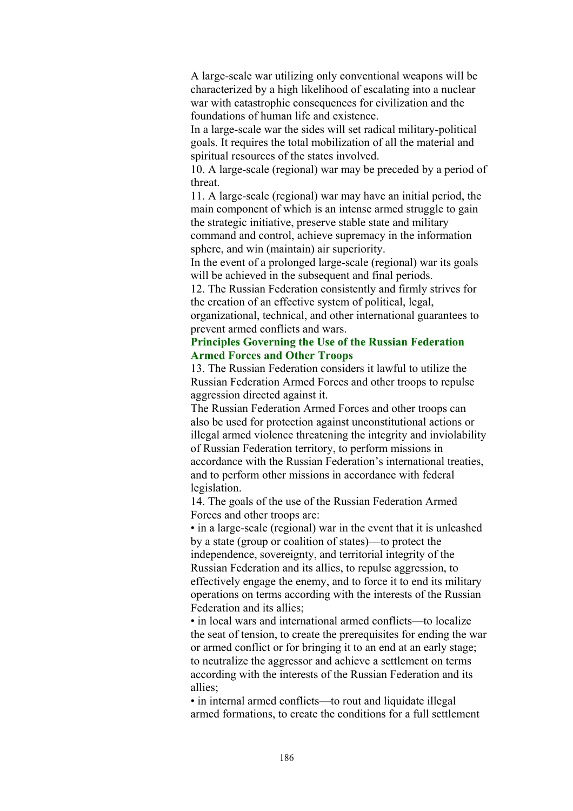A large-scale war utilizing only conventional weapons will be characterized by a high likelihood of escalating into a nuclear war with catastrophic consequences for civilization and the foundations of human life and existence.

In a large-scale war the sides will set radical military-political goals. It requires the total mobilization of all the material and spiritual resources of the states involved.

10. A large-scale (regional) war may be preceded by a period of threat.

11. A large-scale (regional) war may have an initial period, the main component of which is an intense armed struggle to gain the strategic initiative, preserve stable state and military command and control, achieve supremacy in the information sphere, and win (maintain) air superiority.

In the event of a prolonged large-scale (regional) war its goals will be achieved in the subsequent and final periods.

12. The Russian Federation consistently and firmly strives for the creation of an effective system of political, legal,

organizational, technical, and other international guarantees to prevent armed conflicts and wars.

# **Principles Governing the Use of the Russian Federation Armed Forces and Other Troops**

13. The Russian Federation considers it lawful to utilize the Russian Federation Armed Forces and other troops to repulse aggression directed against it.

The Russian Federation Armed Forces and other troops can also be used for protection against unconstitutional actions or illegal armed violence threatening the integrity and inviolability of Russian Federation territory, to perform missions in accordance with the Russian Federation's international treaties, and to perform other missions in accordance with federal legislation.

14. The goals of the use of the Russian Federation Armed Forces and other troops are:

• in a large-scale (regional) war in the event that it is unleashed by a state (group or coalition of states)—to protect the independence, sovereignty, and territorial integrity of the Russian Federation and its allies, to repulse aggression, to effectively engage the enemy, and to force it to end its military operations on terms according with the interests of the Russian Federation and its allies;

• in local wars and international armed conflicts—to localize the seat of tension, to create the prerequisites for ending the war or armed conflict or for bringing it to an end at an early stage; to neutralize the aggressor and achieve a settlement on terms according with the interests of the Russian Federation and its allies;

• in internal armed conflicts—to rout and liquidate illegal armed formations, to create the conditions for a full settlement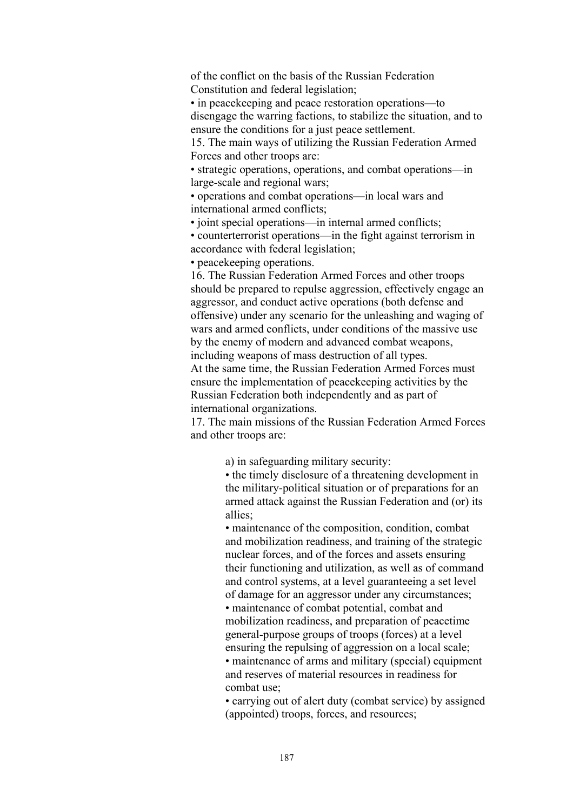of the conflict on the basis of the Russian Federation Constitution and federal legislation;

• in peacekeeping and peace restoration operations—to disengage the warring factions, to stabilize the situation, and to ensure the conditions for a just peace settlement.

15. The main ways of utilizing the Russian Federation Armed Forces and other troops are:

• strategic operations, operations, and combat operations—in large-scale and regional wars;

• operations and combat operations—in local wars and international armed conflicts;

• joint special operations—in internal armed conflicts;

• counterterrorist operations—in the fight against terrorism in accordance with federal legislation;

• peacekeeping operations.

16. The Russian Federation Armed Forces and other troops should be prepared to repulse aggression, effectively engage an aggressor, and conduct active operations (both defense and offensive) under any scenario for the unleashing and waging of wars and armed conflicts, under conditions of the massive use by the enemy of modern and advanced combat weapons, including weapons of mass destruction of all types.

At the same time, the Russian Federation Armed Forces must ensure the implementation of peacekeeping activities by the Russian Federation both independently and as part of international organizations.

17. The main missions of the Russian Federation Armed Forces and other troops are:

a) in safeguarding military security:

• the timely disclosure of a threatening development in the military-political situation or of preparations for an armed attack against the Russian Federation and (or) its allies;

• maintenance of the composition, condition, combat and mobilization readiness, and training of the strategic nuclear forces, and of the forces and assets ensuring their functioning and utilization, as well as of command and control systems, at a level guaranteeing a set level of damage for an aggressor under any circumstances; • maintenance of combat potential, combat and mobilization readiness, and preparation of peacetime general-purpose groups of troops (forces) at a level ensuring the repulsing of aggression on a local scale; • maintenance of arms and military (special) equipment

and reserves of material resources in readiness for combat use;

• carrying out of alert duty (combat service) by assigned (appointed) troops, forces, and resources;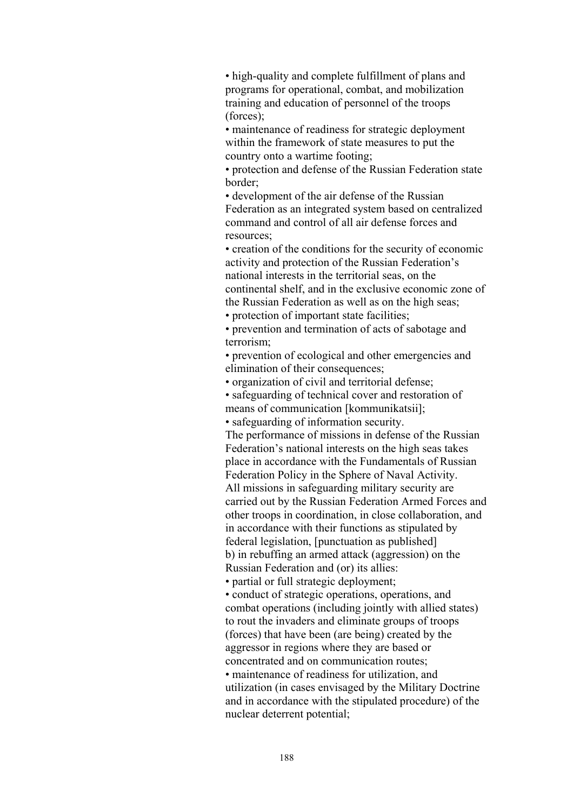• high-quality and complete fulfillment of plans and programs for operational, combat, and mobilization training and education of personnel of the troops (forces);

• maintenance of readiness for strategic deployment within the framework of state measures to put the country onto a wartime footing;

• protection and defense of the Russian Federation state border;

• development of the air defense of the Russian Federation as an integrated system based on centralized command and control of all air defense forces and resources;

• creation of the conditions for the security of economic activity and protection of the Russian Federation's national interests in the territorial seas, on the continental shelf, and in the exclusive economic zone of the Russian Federation as well as on the high seas;

• protection of important state facilities;

• prevention and termination of acts of sabotage and terrorism;

• prevention of ecological and other emergencies and elimination of their consequences;

• organization of civil and territorial defense;

• safeguarding of technical cover and restoration of means of communication [kommunikatsii];

• safeguarding of information security.

The performance of missions in defense of the Russian Federation's national interests on the high seas takes place in accordance with the Fundamentals of Russian Federation Policy in the Sphere of Naval Activity. All missions in safeguarding military security are carried out by the Russian Federation Armed Forces and other troops in coordination, in close collaboration, and in accordance with their functions as stipulated by federal legislation, [punctuation as published] b) in rebuffing an armed attack (aggression) on the Russian Federation and (or) its allies:

• partial or full strategic deployment;

• conduct of strategic operations, operations, and combat operations (including jointly with allied states) to rout the invaders and eliminate groups of troops (forces) that have been (are being) created by the aggressor in regions where they are based or concentrated and on communication routes;

• maintenance of readiness for utilization, and utilization (in cases envisaged by the Military Doctrine and in accordance with the stipulated procedure) of the nuclear deterrent potential;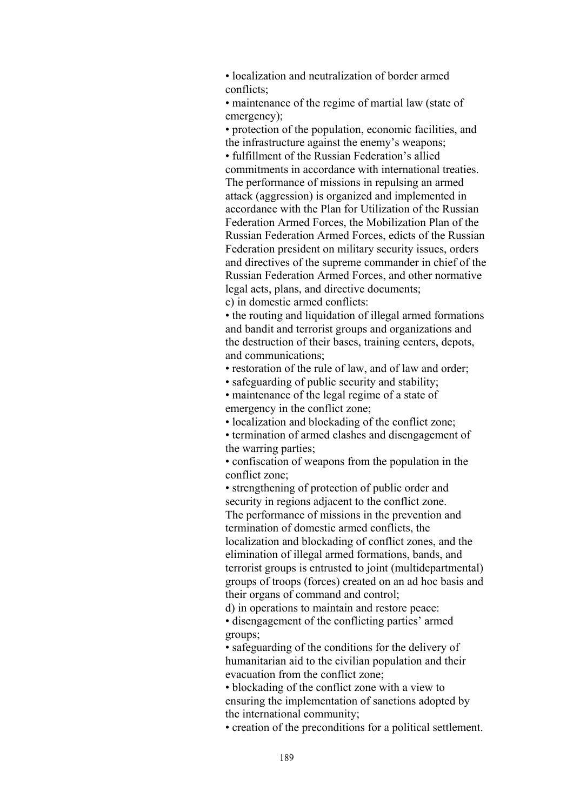• localization and neutralization of border armed conflicts;

• maintenance of the regime of martial law (state of emergency);

• protection of the population, economic facilities, and the infrastructure against the enemy's weapons;

• fulfillment of the Russian Federation's allied commitments in accordance with international treaties. The performance of missions in repulsing an armed attack (aggression) is organized and implemented in accordance with the Plan for Utilization of the Russian Federation Armed Forces, the Mobilization Plan of the Russian Federation Armed Forces, edicts of the Russian Federation president on military security issues, orders and directives of the supreme commander in chief of the Russian Federation Armed Forces, and other normative legal acts, plans, and directive documents;

c) in domestic armed conflicts:

• the routing and liquidation of illegal armed formations and bandit and terrorist groups and organizations and the destruction of their bases, training centers, depots, and communications;

• restoration of the rule of law, and of law and order;

• safeguarding of public security and stability;

• maintenance of the legal regime of a state of emergency in the conflict zone;

• localization and blockading of the conflict zone;

• termination of armed clashes and disengagement of the warring parties;

• confiscation of weapons from the population in the conflict zone;

• strengthening of protection of public order and security in regions adjacent to the conflict zone. The performance of missions in the prevention and termination of domestic armed conflicts, the localization and blockading of conflict zones, and the elimination of illegal armed formations, bands, and terrorist groups is entrusted to joint (multidepartmental) groups of troops (forces) created on an ad hoc basis and their organs of command and control;

d) in operations to maintain and restore peace:

• disengagement of the conflicting parties' armed groups;

• safeguarding of the conditions for the delivery of humanitarian aid to the civilian population and their evacuation from the conflict zone;

• blockading of the conflict zone with a view to ensuring the implementation of sanctions adopted by the international community;

• creation of the preconditions for a political settlement.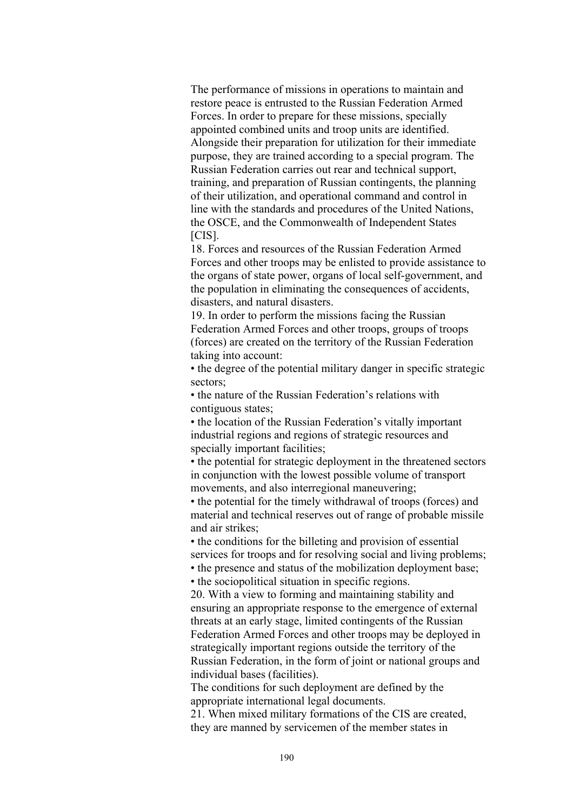The performance of missions in operations to maintain and restore peace is entrusted to the Russian Federation Armed Forces. In order to prepare for these missions, specially appointed combined units and troop units are identified. Alongside their preparation for utilization for their immediate purpose, they are trained according to a special program. The Russian Federation carries out rear and technical support, training, and preparation of Russian contingents, the planning of their utilization, and operational command and control in line with the standards and procedures of the United Nations, the OSCE, and the Commonwealth of Independent States [CIS].

18. Forces and resources of the Russian Federation Armed Forces and other troops may be enlisted to provide assistance to the organs of state power, organs of local self-government, and the population in eliminating the consequences of accidents, disasters, and natural disasters.

19. In order to perform the missions facing the Russian Federation Armed Forces and other troops, groups of troops (forces) are created on the territory of the Russian Federation taking into account:

• the degree of the potential military danger in specific strategic sectors;

• the nature of the Russian Federation's relations with contiguous states;

• the location of the Russian Federation's vitally important industrial regions and regions of strategic resources and specially important facilities;

• the potential for strategic deployment in the threatened sectors in conjunction with the lowest possible volume of transport movements, and also interregional maneuvering;

• the potential for the timely withdrawal of troops (forces) and material and technical reserves out of range of probable missile and air strikes;

• the conditions for the billeting and provision of essential services for troops and for resolving social and living problems;

• the presence and status of the mobilization deployment base;

• the sociopolitical situation in specific regions.

20. With a view to forming and maintaining stability and ensuring an appropriate response to the emergence of external threats at an early stage, limited contingents of the Russian Federation Armed Forces and other troops may be deployed in strategically important regions outside the territory of the Russian Federation, in the form of joint or national groups and individual bases (facilities).

The conditions for such deployment are defined by the appropriate international legal documents.

21. When mixed military formations of the CIS are created, they are manned by servicemen of the member states in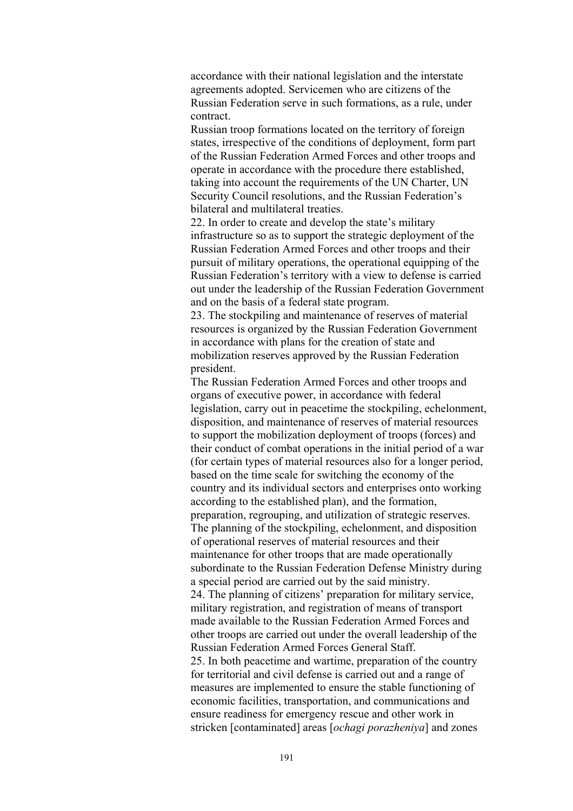accordance with their national legislation and the interstate agreements adopted. Servicemen who are citizens of the Russian Federation serve in such formations, as a rule, under contract.

Russian troop formations located on the territory of foreign states, irrespective of the conditions of deployment, form part of the Russian Federation Armed Forces and other troops and operate in accordance with the procedure there established, taking into account the requirements of the UN Charter, UN Security Council resolutions, and the Russian Federation's bilateral and multilateral treaties.

22. In order to create and develop the state's military infrastructure so as to support the strategic deployment of the Russian Federation Armed Forces and other troops and their pursuit of military operations, the operational equipping of the Russian Federation's territory with a view to defense is carried out under the leadership of the Russian Federation Government and on the basis of a federal state program.

23. The stockpiling and maintenance of reserves of material resources is organized by the Russian Federation Government in accordance with plans for the creation of state and mobilization reserves approved by the Russian Federation president.

The Russian Federation Armed Forces and other troops and organs of executive power, in accordance with federal legislation, carry out in peacetime the stockpiling, echelonment, disposition, and maintenance of reserves of material resources to support the mobilization deployment of troops (forces) and their conduct of combat operations in the initial period of a war (for certain types of material resources also for a longer period, based on the time scale for switching the economy of the country and its individual sectors and enterprises onto working according to the established plan), and the formation, preparation, regrouping, and utilization of strategic reserves. The planning of the stockpiling, echelonment, and disposition of operational reserves of material resources and their maintenance for other troops that are made operationally subordinate to the Russian Federation Defense Ministry during a special period are carried out by the said ministry. 24. The planning of citizens' preparation for military service, military registration, and registration of means of transport made available to the Russian Federation Armed Forces and other troops are carried out under the overall leadership of the Russian Federation Armed Forces General Staff. 25. In both peacetime and wartime, preparation of the country for territorial and civil defense is carried out and a range of measures are implemented to ensure the stable functioning of economic facilities, transportation, and communications and ensure readiness for emergency rescue and other work in stricken [contaminated] areas [*ochagi porazheniya*] and zones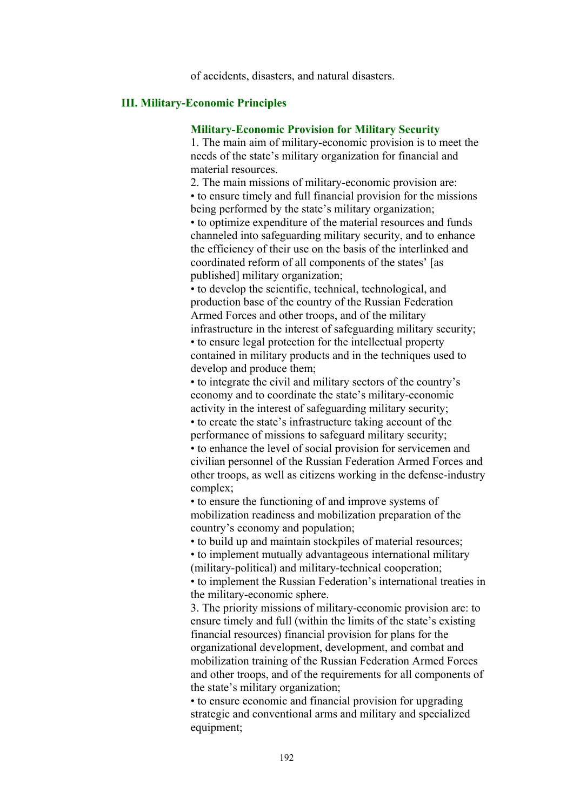of accidents, disasters, and natural disasters.

#### **III. Military-Economic Principles**

#### **Military-Economic Provision for Military Security**

1. The main aim of military-economic provision is to meet the needs of the state's military organization for financial and material resources.

2. The main missions of military-economic provision are: • to ensure timely and full financial provision for the missions being performed by the state's military organization;

• to optimize expenditure of the material resources and funds channeled into safeguarding military security, and to enhance the efficiency of their use on the basis of the interlinked and coordinated reform of all components of the states' [as published] military organization;

• to develop the scientific, technical, technological, and production base of the country of the Russian Federation Armed Forces and other troops, and of the military infrastructure in the interest of safeguarding military security;

• to ensure legal protection for the intellectual property contained in military products and in the techniques used to develop and produce them;

• to integrate the civil and military sectors of the country's economy and to coordinate the state's military-economic activity in the interest of safeguarding military security; • to create the state's infrastructure taking account of the performance of missions to safeguard military security; • to enhance the level of social provision for servicemen and civilian personnel of the Russian Federation Armed Forces and other troops, as well as citizens working in the defense-industry complex;

• to ensure the functioning of and improve systems of mobilization readiness and mobilization preparation of the country's economy and population;

• to build up and maintain stockpiles of material resources;

• to implement mutually advantageous international military (military-political) and military-technical cooperation;

• to implement the Russian Federation's international treaties in the military-economic sphere.

3. The priority missions of military-economic provision are: to ensure timely and full (within the limits of the state's existing financial resources) financial provision for plans for the organizational development, development, and combat and mobilization training of the Russian Federation Armed Forces and other troops, and of the requirements for all components of the state's military organization;

• to ensure economic and financial provision for upgrading strategic and conventional arms and military and specialized equipment;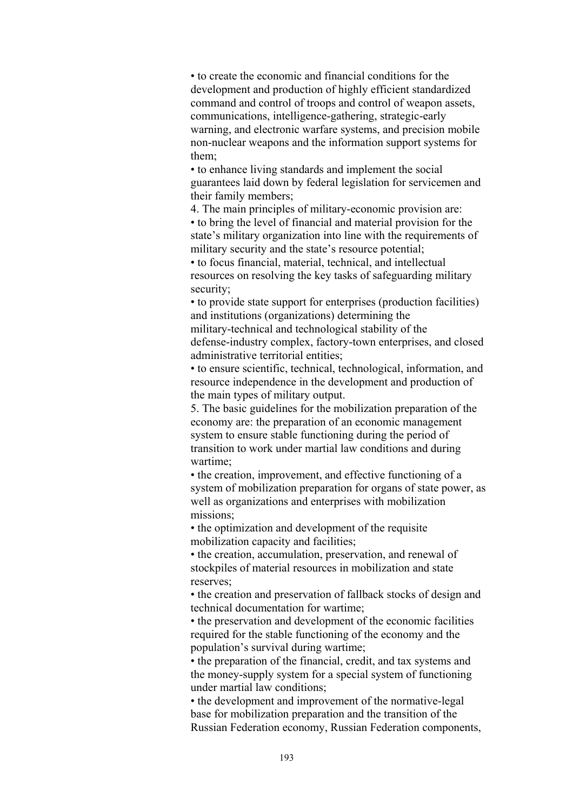• to create the economic and financial conditions for the development and production of highly efficient standardized command and control of troops and control of weapon assets, communications, intelligence-gathering, strategic-early warning, and electronic warfare systems, and precision mobile non-nuclear weapons and the information support systems for them;

• to enhance living standards and implement the social guarantees laid down by federal legislation for servicemen and their family members;

4. The main principles of military-economic provision are: • to bring the level of financial and material provision for the state's military organization into line with the requirements of military security and the state's resource potential;

• to focus financial, material, technical, and intellectual resources on resolving the key tasks of safeguarding military security;

• to provide state support for enterprises (production facilities) and institutions (organizations) determining the military-technical and technological stability of the

defense-industry complex, factory-town enterprises, and closed administrative territorial entities;

• to ensure scientific, technical, technological, information, and resource independence in the development and production of the main types of military output.

5. The basic guidelines for the mobilization preparation of the economy are: the preparation of an economic management system to ensure stable functioning during the period of transition to work under martial law conditions and during wartime;

• the creation, improvement, and effective functioning of a system of mobilization preparation for organs of state power, as well as organizations and enterprises with mobilization missions;

• the optimization and development of the requisite mobilization capacity and facilities;

• the creation, accumulation, preservation, and renewal of stockpiles of material resources in mobilization and state reserves;

• the creation and preservation of fallback stocks of design and technical documentation for wartime;

• the preservation and development of the economic facilities required for the stable functioning of the economy and the population's survival during wartime;

• the preparation of the financial, credit, and tax systems and the money-supply system for a special system of functioning under martial law conditions;

• the development and improvement of the normative-legal base for mobilization preparation and the transition of the Russian Federation economy, Russian Federation components,